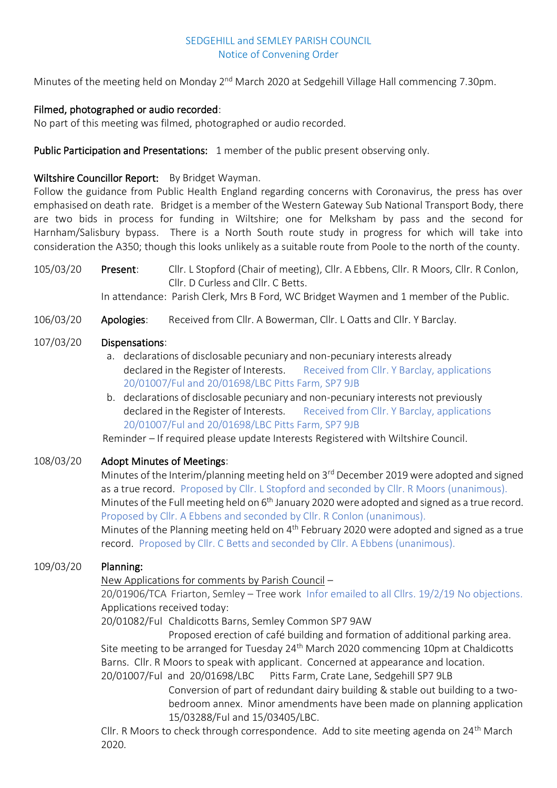#### SEDGEHILL and SEMLEY PARISH COUNCIL Notice of Convening Order

Minutes of the meeting held on Monday 2<sup>nd</sup> March 2020 at Sedgehill Village Hall commencing 7.30pm.

## Filmed, photographed or audio recorded:

No part of this meeting was filmed, photographed or audio recorded.

#### Public Participation and Presentations: 1 member of the public present observing only.

#### Wiltshire Councillor Report: By Bridget Wayman.

Follow the guidance from Public Health England regarding concerns with Coronavirus, the press has over emphasised on death rate. Bridget is a member of the Western Gateway Sub National Transport Body, there are two bids in process for funding in Wiltshire; one for Melksham by pass and the second for Harnham/Salisbury bypass. There is a North South route study in progress for which will take into consideration the A350; though this looks unlikely as a suitable route from Poole to the north of the county.

105/03/20 Present: Cllr. L Stopford (Chair of meeting), Cllr. A Ebbens, Cllr. R Moors, Cllr. R Conlon, Cllr. D Curless and Cllr. C Betts. In attendance: Parish Clerk, Mrs B Ford, WC Bridget Waymen and 1 member of the Public.

106/03/20 Apologies: Received from Cllr. A Bowerman, Cllr. L Oatts and Cllr. Y Barclay.

#### 107/03/20 Dispensations:

- a. declarations of disclosable pecuniary and non-pecuniary interests already declared in the Register of Interests. Received from Cllr. Y Barclay, applications 20/01007/Ful and 20/01698/LBC Pitts Farm, SP7 9JB
- b. declarations of disclosable pecuniary and non-pecuniary interests not previously declared in the Register of Interests. Received from Cllr. Y Barclay, applications 20/01007/Ful and 20/01698/LBC Pitts Farm, SP7 9JB

Reminder – If required please update Interests Registered with Wiltshire Council.

#### 108/03/20 Adopt Minutes of Meetings:

Minutes of the Interim/planning meeting held on 3<sup>rd</sup> December 2019 were adopted and signed as a true record. Proposed by Cllr. L Stopford and seconded by Cllr. R Moors (unanimous). Minutes of the Full meeting held on  $6<sup>th</sup>$  January 2020 were adopted and signed as a true record. Proposed by Cllr. A Ebbens and seconded by Cllr. R Conlon (unanimous).

Minutes of the Planning meeting held on 4<sup>th</sup> February 2020 were adopted and signed as a true record. Proposed by Cllr. C Betts and seconded by Cllr. A Ebbens (unanimous).

# 109/03/20 Planning:

New Applications for comments by Parish Council –

20/01906/TCA Friarton, Semley – Tree work Infor emailed to all Cllrs. 19/2/19 No objections. Applications received today:

20/01082/Ful Chaldicotts Barns, Semley Common SP7 9AW

Proposed erection of café building and formation of additional parking area. Site meeting to be arranged for Tuesday 24<sup>th</sup> March 2020 commencing 10pm at Chaldicotts Barns. Cllr. R Moors to speak with applicant. Concerned at appearance and location.

20/01007/Ful and 20/01698/LBC Pitts Farm, Crate Lane, Sedgehill SP7 9LB Conversion of part of redundant dairy building & stable out building to a twobedroom annex. Minor amendments have been made on planning application 15/03288/Ful and 15/03405/LBC.

Cllr. R Moors to check through correspondence. Add to site meeting agenda on 24<sup>th</sup> March 2020.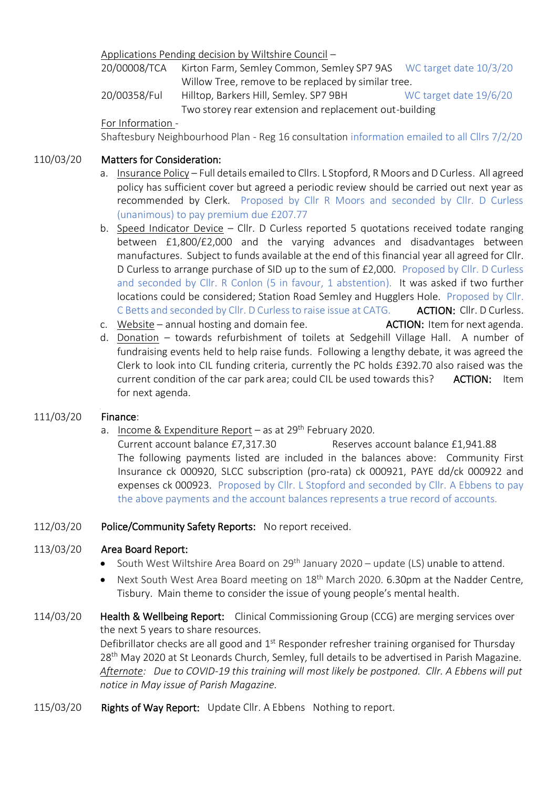Applications Pending decision by Wiltshire Council –

20/00008/TCA Kirton Farm, Semley Common, Semley SP7 9AS WC target date 10/3/20 Willow Tree, remove to be replaced by similar tree.

20/00358/Ful Hilltop, Barkers Hill, Semley. SP7 9BH WC target date 19/6/20 Two storey rear extension and replacement out-building

For Information -

Shaftesbury Neighbourhood Plan - Reg 16 consultation information emailed to all Cllrs 7/2/20

## 110/03/20 Matters for Consideration:

- a. Insurance Policy Full details emailed to Cllrs. L Stopford, R Moors and D Curless. All agreed policy has sufficient cover but agreed a periodic review should be carried out next year as recommended by Clerk. Proposed by Cllr R Moors and seconded by Cllr. D Curless (unanimous) to pay premium due £207.77
- b. Speed Indicator Device Cllr. D Curless reported 5 quotations received todate ranging between £1,800/£2,000 and the varying advances and disadvantages between manufactures. Subject to funds available at the end of this financial year all agreed for Cllr. D Curless to arrange purchase of SID up to the sum of £2,000. Proposed by Cllr. D Curless and seconded by Cllr. R Conlon (5 in favour, 1 abstention). It was asked if two further locations could be considered; Station Road Semley and Hugglers Hole. Proposed by Cllr. C Betts and seconded by Cllr. D Curless to raise issue at CATG. **ACTION: Cllr. D Curless.**
- c. Website annual hosting and domain fee.  $\overline{ACTION}$ : Item for next agenda.
- d. Donation towards refurbishment of toilets at Sedgehill Village Hall. A number of fundraising events held to help raise funds. Following a lengthy debate, it was agreed the Clerk to look into CIL funding criteria, currently the PC holds £392.70 also raised was the current condition of the car park area; could CIL be used towards this? ACTION: Item for next agenda.

# 111/03/20 Finance:

a. Income & Expenditure Report – as at  $29<sup>th</sup>$  February 2020.

Current account balance £7,317.30 Reserves account balance £1,941.88 The following payments listed are included in the balances above: Community First Insurance ck 000920, SLCC subscription (pro-rata) ck 000921, PAYE dd/ck 000922 and expenses ck 000923. Proposed by Cllr. L Stopford and seconded by Cllr. A Ebbens to pay the above payments and the account balances represents a true record of accounts.

#### 112/03/20 Police/Community Safety Reports: No report received.

# 113/03/20 Area Board Report:

- South West Wiltshire Area Board on 29<sup>th</sup> January 2020 update (LS) unable to attend.
- Next South West Area Board meeting on 18<sup>th</sup> March 2020. 6.30pm at the Nadder Centre, Tisbury. Main theme to consider the issue of young people's mental health.

# 114/03/20 **Health & Wellbeing Report:** Clinical Commissioning Group (CCG) are merging services over the next 5 years to share resources.

Defibrillator checks are all good and 1<sup>st</sup> Responder refresher training organised for Thursday 28<sup>th</sup> May 2020 at St Leonards Church, Semley, full details to be advertised in Parish Magazine. *Afternote: Due to COVID-19 this training will most likely be postponed. Cllr. A Ebbens will put notice in May issue of Parish Magazine.*

115/03/20 Rights of Way Report: Update Cllr. A Ebbens Nothing to report.